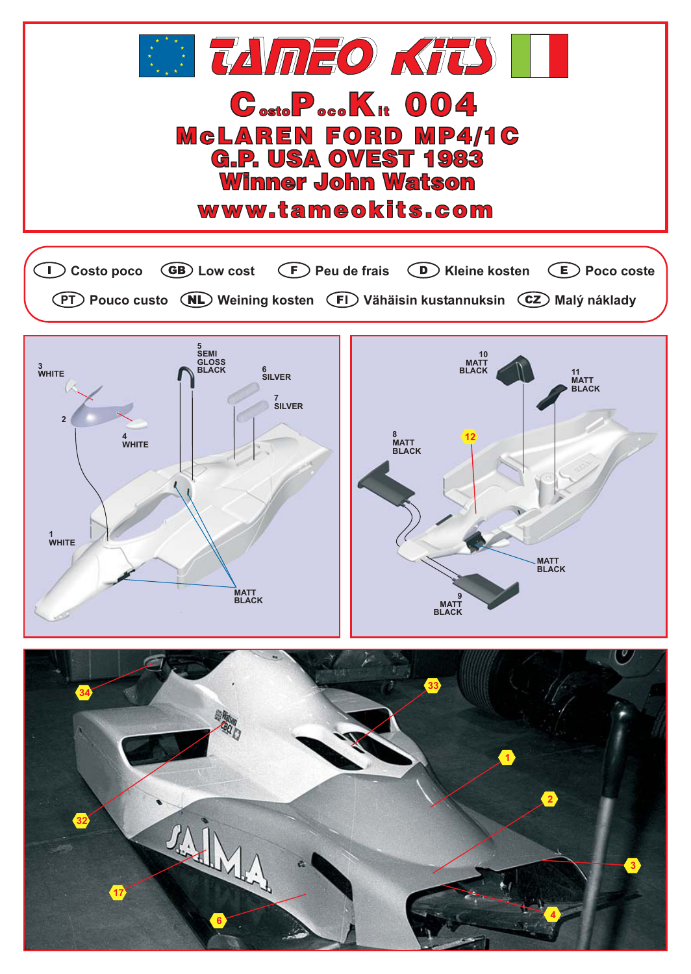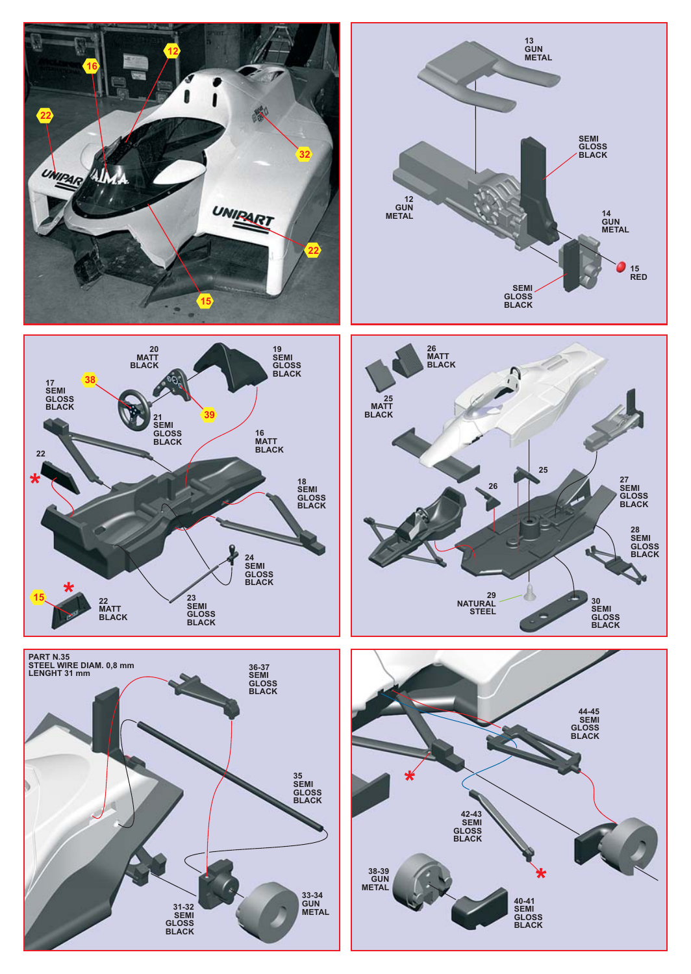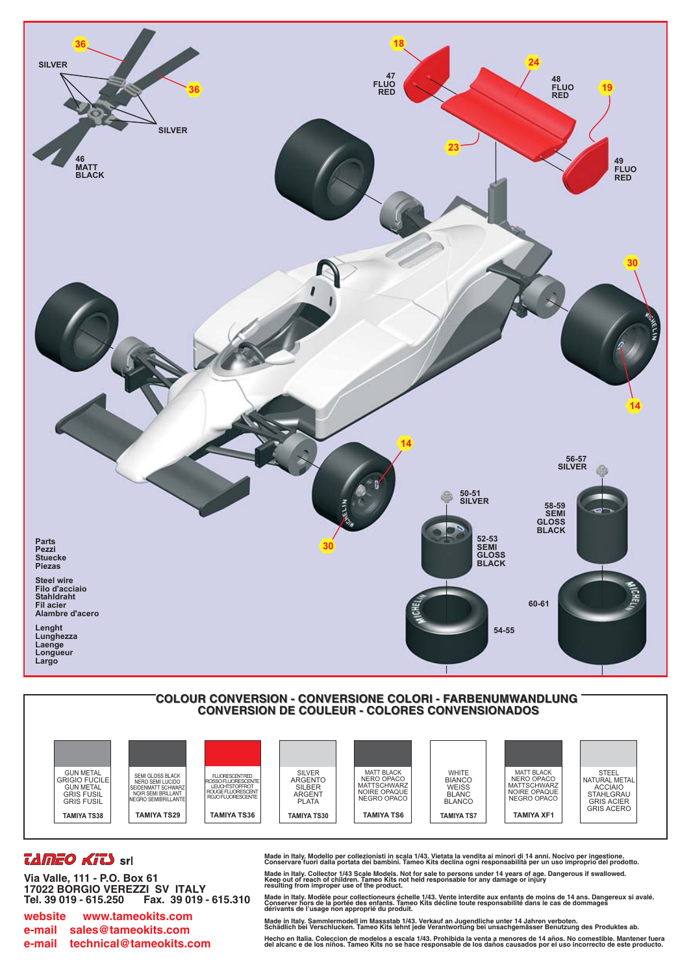





## *TAMEO KITS* srl

Via Valle, 111 - P.O. Box 61 17022 BORGIO VEREZZI SV ITALY Tel. 39 019 - 615.250 Fax. 39 019 - 615.310

www.tameokits.com website e-mail sales@tameokits.com e-mail technical@tameokits.com Made in Italy. Modello per collezionisti in scala 1/43. Vietata la vendita ai minori di 14 anni. Nocivo per ingestione.<br>Conservare fuori dalla portata dei bambini. Tameo Kits declina ogni responsabilità per un uso impropri

Made in Italy. Collector 1/43 Scale Models. Not for sale to persons under 14 years of age. Dangerous if swallowed.<br>Keep out of reach of children. Tameo Kits not held responsable for any damage or injury<br>resulting from impr

Made in Italy. Modèle pour collectioneurs échelle 1/43. Vente interdite aux enfants de moins de 14 ans. Dangereux si avalé.<br>Conserver hors de la portée des enfants. Tameo Kits décline toute responsabilité dans le cas de do

Made in Italy. Sammlermodell im Massstab 1/43. Verkauf an Jugendliche unter 14 Jahren verboten.<br>Schädlich bei Verschlucken. Tameo Kits lehnt jede Verantwortung bei unsachgemässer Benutzung des Produktes ab. Hecho en Italia. Coleccion de modelos a escala 1/43. Prohibida la venta a menores de 14 años. No comestible. Mantener fuera<br>del alcanc e de los niños. Tameo Kits no se hace responsable de los daños causados por el uso inco